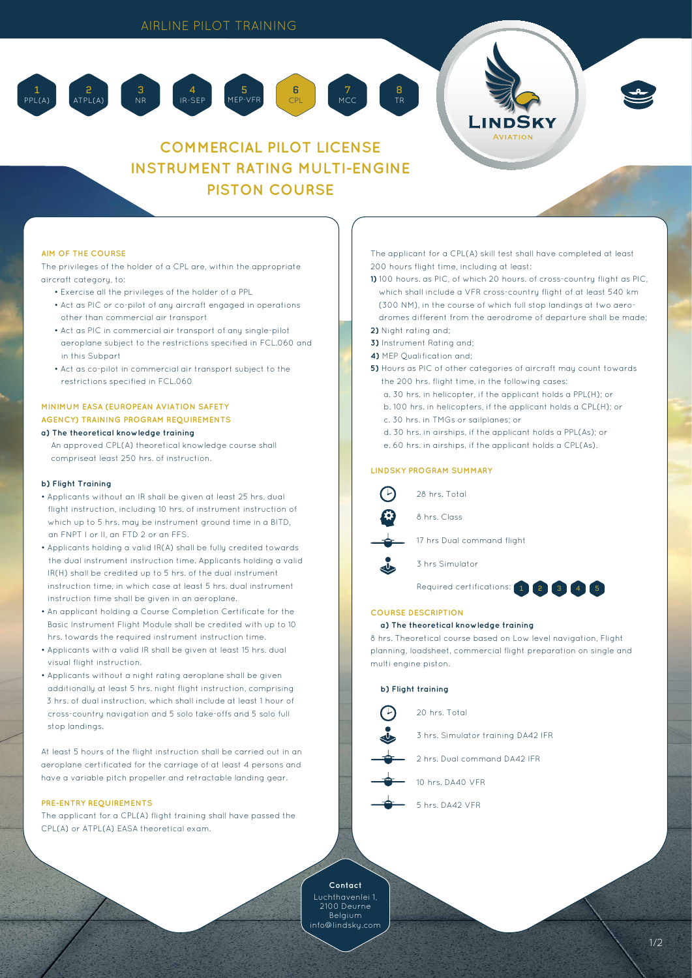5 MEP-VFR

4 IR-SEP



# **COMMERCIAL PILOT LICENSE INSTRUMENT RATING MULTI-ENGINE PISTON COURSE**

6 CPL

7 MCC 8 TR

# **AIM OF THE COURSE**

2 ATPL(A)

The privileges of the holder of a CPL are, within the appropriate aircraft category, to:

• Exercise all the privileges of the holder of a PPL

3 NR

- Act as PIC or co-pilot of any aircraft engaged in operations other than commercial air transport
- Act as PIC in commercial air transport of any single-pilot aeroplane subject to the restrictions specified in FCL.060 and in this Subpart
- Act as co-pilot in commercial air transport subject to the restrictions specified in FCL.060

# **MINIMUM EASA (EUROPEAN AVIATION SAFETY AGENCY) TRAINING PROGRAM REQUIREMENTS a) The theoretical knowledge training**

An approved CPL(A) theoretical knowledge course shall compriseat least 250 hrs. of instruction.

### **b) Flight Training**

- Applicants without an IR shall be given at least 25 hrs. dual flight instruction, including 10 hrs. of instrument instruction of which up to 5 hrs. may be instrument ground time in a BITD, an FNPT I or II, an FTD 2 or an FFS.
- Applicants holding a valid IR(A) shall be fully credited towards the dual instrument instruction time. Applicants holding a valid IR(H) shall be credited up to 5 hrs. of the dual instrument instruction time, in which case at least 5 hrs. dual instrument instruction time shall be given in an aeroplane.
- An applicant holding a Course Completion Certificate for the Basic Instrument Flight Module shall be credited with up to 10 hrs. towards the required instrument instruction time.
- Applicants with a valid IR shall be given at least 15 hrs. dual visual flight instruction.
- Applicants without a night rating aeroplane shall be given additionally at least 5 hrs. night flight instruction, comprising 3 hrs. of dual instruction, which shall include at least 1 hour of cross-country navigation and 5 solo take-offs and 5 solo full stop landings.

At least 5 hours of the flight instruction shall be carried out in an aeroplane certificated for the carriage of at least 4 persons and have a variable pitch propeller and retractable landing gear.

#### **PRE-ENTRY REQUIREMENTS**

The applicant for a CPL(A) flight training shall have passed the CPL(A) or ATPL(A) EASA theoretical exam.

The applicant for a CPL(A) skill test shall have completed at least 200 hours flight time, including at least:

- **1)** 100 hours. as PIC, of which 20 hours. of cross-country flight as PIC, which shall include a VFR cross-country flight of at least 540 km (300 NM), in the course of which full stop landings at two aerodromes different from the aerodrome of departure shall be made; **2)** Night rating and;
- 
- **3)** Instrument Rating and;
- **4)** MEP Qualification and;
- **5)** Hours as PIC of other categories of aircraft may count towards the 200 hrs. flight time, in the following cases:
	- a. 30 hrs. in helicopter, if the applicant holds a PPL(H); or
	- b. 100 hrs. in helicopters, if the applicant holds a CPL(H); or
	- c. 30 hrs. in TMGs or sailplanes; or
	- d. 30 hrs. in airships, if the applicant holds a PPL(As); or
	- e. 60 hrs. in airships, if the applicant holds a CPL(As).

#### **LINDSKY PROGRAM SUMMARY**

28 hrs. Total 8 hrs. Class 17 hrs Dual command flight 3 hrs Simulator Required certifications: 1 2 3 4 5

# **COURSE DESCRIPTION**

#### **a) The theoretical knowledge training**

8 hrs. Theoretical course based on Low level navigation, Flight planning, loadsheet, commercial flight preparation on single and multi engine piston.

# **b) Flight training**

20 hrs. Total

3 hrs. Simulator training DA42 IFR

2 hrs. Dual command DA42 IFR

10 hrs. DA40 VFR

5 hrs. DA42 VFR

**Contact** 2100 Deurne Belgium info@lindsky.com